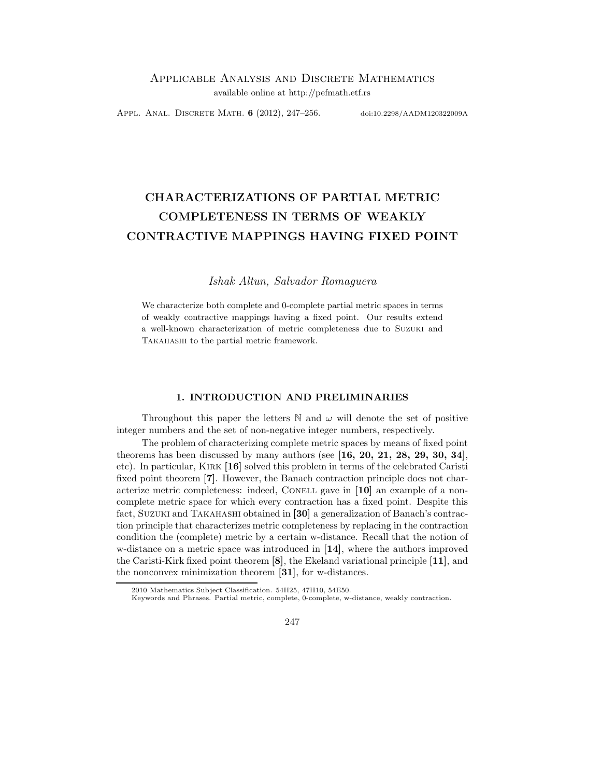Appl. Anal. DISCRETE MATH. 6 (2012), 247-256. doi:10.2298/AADM120322009A

# CHARACTERIZATIONS OF PARTIAL METRIC COMPLETENESS IN TERMS OF WEAKLY CONTRACTIVE MAPPINGS HAVING FIXED POINT

### Ishak Altun, Salvador Romaguera

We characterize both complete and 0-complete partial metric spaces in terms of weakly contractive mappings having a fixed point. Our results extend a well-known characterization of metric completeness due to Suzuki and Takahashi to the partial metric framework.

### 1. INTRODUCTION AND PRELIMINARIES

Throughout this paper the letters  $\mathbb N$  and  $\omega$  will denote the set of positive integer numbers and the set of non-negative integer numbers, respectively.

The problem of characterizing complete metric spaces by means of fixed point theorems has been discussed by many authors (see  $[16, 20, 21, 28, 29, 30, 34]$ , etc). In particular, Kirk [16] solved this problem in terms of the celebrated Caristi fixed point theorem [7]. However, the Banach contraction principle does not characterize metric completeness: indeed, CONELL gave in [10] an example of a noncomplete metric space for which every contraction has a fixed point. Despite this fact, Suzuki and Takahashi obtained in [30] a generalization of Banach's contraction principle that characterizes metric completeness by replacing in the contraction condition the (complete) metric by a certain w-distance. Recall that the notion of w-distance on a metric space was introduced in [14], where the authors improved the Caristi-Kirk fixed point theorem [8], the Ekeland variational principle [11], and the nonconvex minimization theorem [31], for w-distances.

247

<sup>2010</sup> Mathematics Subject Classification. 54H25, 47H10, 54E50.

Keywords and Phrases. Partial metric, complete, 0-complete, w-distance, weakly contraction.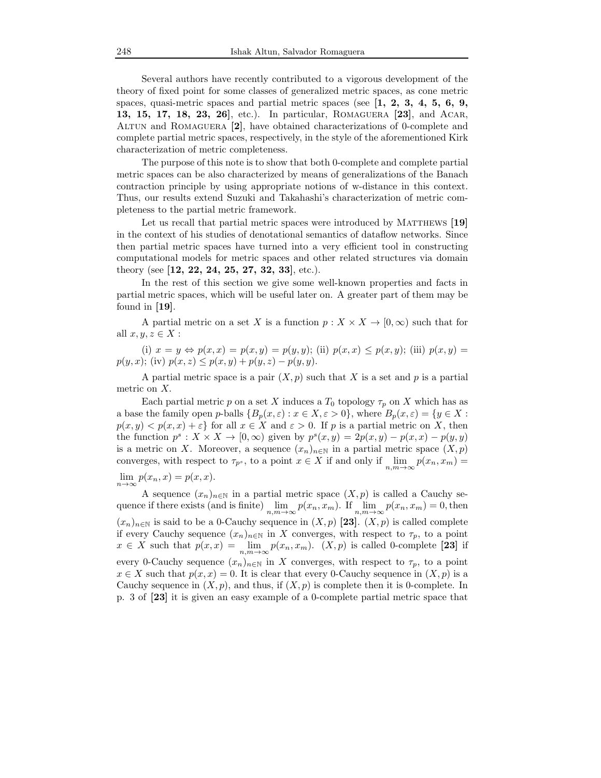Several authors have recently contributed to a vigorous development of the theory of fixed point for some classes of generalized metric spaces, as cone metric spaces, quasi-metric spaces and partial metric spaces (see  $\left[1, 2, 3, 4, 5, 6, 9, \right]$ 13, 15, 17, 18, 23, 26], etc.). In particular, Romaguera [23], and Acar, Altun and Romaguera [2], have obtained characterizations of 0-complete and complete partial metric spaces, respectively, in the style of the aforementioned Kirk characterization of metric completeness.

The purpose of this note is to show that both 0-complete and complete partial metric spaces can be also characterized by means of generalizations of the Banach contraction principle by using appropriate notions of w-distance in this context. Thus, our results extend Suzuki and Takahashi's characterization of metric completeness to the partial metric framework.

Let us recall that partial metric spaces were introduced by MATTHEWS [19] in the context of his studies of denotational semantics of dataflow networks. Since then partial metric spaces have turned into a very efficient tool in constructing computational models for metric spaces and other related structures via domain theory (see [12, 22, 24, 25, 27, 32, 33], etc.).

In the rest of this section we give some well-known properties and facts in partial metric spaces, which will be useful later on. A greater part of them may be found in [19].

A partial metric on a set X is a function  $p: X \times X \to [0, \infty)$  such that for all  $x, y, z \in X$ :

(i)  $x = y \Leftrightarrow p(x, x) = p(x, y) = p(y, y)$ ; (ii)  $p(x, x) \le p(x, y)$ ; (iii)  $p(x, y) =$  $p(y, x)$ ; (iv)  $p(x, z) \leq p(x, y) + p(y, z) - p(y, y)$ .

A partial metric space is a pair  $(X, p)$  such that X is a set and p is a partial metric on X.

Each partial metric p on a set X induces a  $T_0$  topology  $\tau_p$  on X which has as a base the family open p-balls  ${B_p(x, \varepsilon) : x \in X, \varepsilon > 0}$ , where  $B_p(x, \varepsilon) = \{y \in X :$  $p(x, y) < p(x, x) + \varepsilon$  for all  $x \in X$  and  $\varepsilon > 0$ . If p is a partial metric on X, then the function  $p^s: X \times X \to [0, \infty)$  given by  $p^s(x, y) = 2p(x, y) - p(x, x) - p(y, y)$ is a metric on X. Moreover, a sequence  $(x_n)_{n\in\mathbb{N}}$  in a partial metric space  $(X, p)$ converges, with respect to  $\tau_{p^s}$ , to a point  $x \in X$  if and only if  $\lim_{n,m \to \infty} p(x_n, x_m) =$ 

## $\lim_{n\to\infty} p(x_n, x) = p(x, x).$

A sequence  $(x_n)_{n\in\mathbb{N}}$  in a partial metric space  $(X, p)$  is called a Cauchy sequence if there exists (and is finite)  $\lim_{n,m\to\infty} p(x_n, x_m)$ . If  $\lim_{n,m\to\infty} p(x_n, x_m) = 0$ , then  $(x_n)_{n\in\mathbb{N}}$  is said to be a 0-Cauchy sequence in  $(X, p)$  [23].  $(X, p)$  is called complete if every Cauchy sequence  $(x_n)_{n\in\mathbb{N}}$  in X converges, with respect to  $\tau_p$ , to a point  $x \in X$  such that  $p(x,x) = \lim_{n,m \to \infty} p(x_n, x_m)$ .  $(X, p)$  is called 0-complete [23] if every 0-Cauchy sequence  $(x_n)_{n\in\mathbb{N}}$  in X converges, with respect to  $\tau_p$ , to a point  $x \in X$  such that  $p(x, x) = 0$ . It is clear that every 0-Cauchy sequence in  $(X, p)$  is a Cauchy sequence in  $(X, p)$ , and thus, if  $(X, p)$  is complete then it is 0-complete. In p. 3 of [23] it is given an easy example of a 0-complete partial metric space that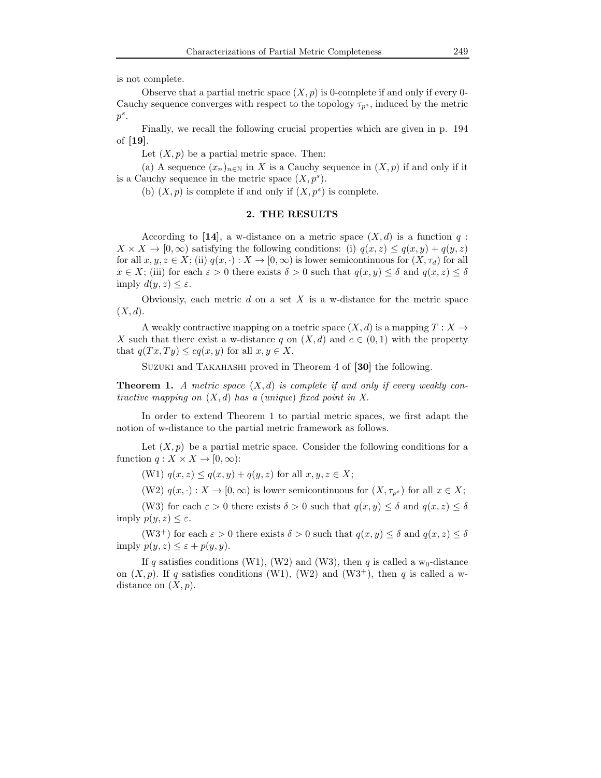is not complete.

Observe that a partial metric space  $(X, p)$  is 0-complete if and only if every 0-Cauchy sequence converges with respect to the topology  $\tau_{p^s}$ , induced by the metric  $p^s$ .

Finally, we recall the following crucial properties which are given in p. 194 of [19].

Let  $(X, p)$  be a partial metric space. Then:

(a) A sequence  $(x_n)_{n\in\mathbb{N}}$  in X is a Cauchy sequence in  $(X, p)$  if and only if it is a Cauchy sequence in the metric space  $(X, p^s)$ .

(b)  $(X, p)$  is complete if and only if  $(X, p^s)$  is complete.

### 2. THE RESULTS

According to [14], a w-distance on a metric space  $(X, d)$  is a function q:  $X \times X \to [0, \infty)$  satisfying the following conditions: (i)  $q(x, z) \leq q(x, y) + q(y, z)$ for all  $x, y, z \in X$ ; (ii)  $q(x, \cdot): X \to [0, \infty)$  is lower semicontinuous for  $(X, \tau_d)$  for all  $x \in X$ ; (iii) for each  $\varepsilon > 0$  there exists  $\delta > 0$  such that  $q(x, y) \leq \delta$  and  $q(x, z) \leq \delta$ imply  $d(y, z) \leq \varepsilon$ .

Obviously, each metric  $d$  on a set  $X$  is a w-distance for the metric space  $(X, d)$ .

A weakly contractive mapping on a metric space  $(X, d)$  is a mapping  $T : X \to$ X such that there exist a w-distance q on  $(X, d)$  and  $c \in (0, 1)$  with the property that  $q(T x, Ty) \leq c q(x, y)$  for all  $x, y \in X$ .

Suzuki and Takahashi proved in Theorem 4 of [30] the following.

**Theorem 1.** A metric space  $(X,d)$  is complete if and only if every weakly contractive mapping on  $(X, d)$  has a (unique) fixed point in X.

In order to extend Theorem 1 to partial metric spaces, we first adapt the notion of w-distance to the partial metric framework as follows.

Let  $(X, p)$  be a partial metric space. Consider the following conditions for a function  $q: X \times X \to [0, \infty)$ :

(W1)  $q(x, z) \leq q(x, y) + q(y, z)$  for all  $x, y, z \in X$ ;

(W2)  $q(x, \cdot) : X \to [0, \infty)$  is lower semicontinuous for  $(X, \tau_{p^s})$  for all  $x \in X$ ;

(W3) for each  $\varepsilon > 0$  there exists  $\delta > 0$  such that  $q(x, y) \leq \delta$  and  $q(x, z) \leq \delta$ imply  $p(y, z) \leq \varepsilon$ .

(W3<sup>+</sup>) for each  $\varepsilon > 0$  there exists  $\delta > 0$  such that  $q(x, y) \leq \delta$  and  $q(x, z) \leq \delta$ imply  $p(y, z) \leq \varepsilon + p(y, y)$ .

If q satisfies conditions (W1), (W2) and (W3), then q is called a  $w_0$ -distance on  $(X, p)$ . If q satisfies conditions (W1), (W2) and (W3<sup>+</sup>), then q is called a wdistance on  $(X, p)$ .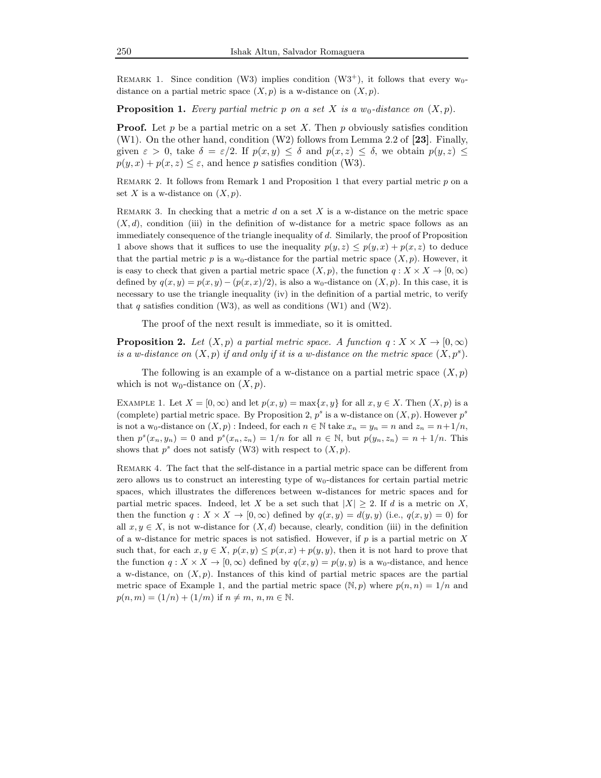REMARK 1. Since condition (W3) implies condition (W3<sup>+</sup>), it follows that every  $w_0$ distance on a partial metric space  $(X, p)$  is a w-distance on  $(X, p)$ .

**Proposition 1.** Every partial metric p on a set X is a  $w_0$ -distance on  $(X, p)$ .

**Proof.** Let  $p$  be a partial metric on a set  $X$ . Then  $p$  obviously satisfies condition (W1). On the other hand, condition (W2) follows from Lemma 2.2 of [23]. Finally, given  $\varepsilon > 0$ , take  $\delta = \varepsilon/2$ . If  $p(x, y) \leq \delta$  and  $p(x, z) \leq \delta$ , we obtain  $p(y, z) \leq$  $p(y, x) + p(x, z) \leq \varepsilon$ , and hence p satisfies condition (W3).

Remark 2. It follows from Remark 1 and Proposition 1 that every partial metric p on a set X is a w-distance on  $(X, p)$ .

REMARK 3. In checking that a metric  $d$  on a set  $X$  is a w-distance on the metric space  $(X, d)$ , condition (iii) in the definition of w-distance for a metric space follows as an immediately consequence of the triangle inequality of d. Similarly, the proof of Proposition 1 above shows that it suffices to use the inequality  $p(y, z) \leq p(y, x) + p(x, z)$  to deduce that the partial metric p is a w<sub>0</sub>-distance for the partial metric space  $(X, p)$ . However, it is easy to check that given a partial metric space  $(X, p)$ , the function  $q : X \times X \to [0, \infty)$ defined by  $q(x, y) = p(x, y) - (p(x, x)/2)$ , is also a w<sub>0</sub>-distance on  $(X, p)$ . In this case, it is necessary to use the triangle inequality (iv) in the definition of a partial metric, to verify that q satisfies condition (W3), as well as conditions (W1) and (W2).

The proof of the next result is immediate, so it is omitted.

**Proposition 2.** Let  $(X, p)$  a partial metric space. A function  $q: X \times X \rightarrow [0, \infty)$ is a w-distance on  $(X, p)$  if and only if it is a w-distance on the metric space  $(X, p^s)$ .

The following is an example of a w-distance on a partial metric space  $(X, p)$ which is not w<sub>0</sub>-distance on  $(X, p)$ .

EXAMPLE 1. Let  $X = [0, \infty)$  and let  $p(x, y) = \max\{x, y\}$  for all  $x, y \in X$ . Then  $(X, p)$  is a (complete) partial metric space. By Proposition 2,  $p^s$  is a w-distance on  $(X, p)$ . However  $p^s$ is not a w<sub>0</sub>-distance on  $(X, p)$ : Indeed, for each  $n \in \mathbb{N}$  take  $x_n = y_n = n$  and  $z_n = n+1/n$ , then  $p^{s}(x_n, y_n) = 0$  and  $p^{s}(x_n, z_n) = 1/n$  for all  $n \in \mathbb{N}$ , but  $p(y_n, z_n) = n + 1/n$ . This shows that  $p^s$  does not satisfy (W3) with respect to  $(X, p)$ .

Remark 4. The fact that the self-distance in a partial metric space can be different from zero allows us to construct an interesting type of  $w_0$ -distances for certain partial metric spaces, which illustrates the differences between w-distances for metric spaces and for partial metric spaces. Indeed, let X be a set such that  $|X| \geq 2$ . If d is a metric on X, then the function  $q: X \times X \to [0, \infty)$  defined by  $q(x, y) = d(y, y)$  (i.e.,  $q(x, y) = 0$ ) for all  $x, y \in X$ , is not w-distance for  $(X, d)$  because, clearly, condition (iii) in the definition of a w-distance for metric spaces is not satisfied. However, if  $p$  is a partial metric on  $X$ such that, for each  $x, y \in X$ ,  $p(x, y) \leq p(x, x) + p(y, y)$ , then it is not hard to prove that the function  $q: X \times X \to [0, \infty)$  defined by  $q(x, y) = p(y, y)$  is a w<sub>0</sub>-distance, and hence a w-distance, on  $(X, p)$ . Instances of this kind of partial metric spaces are the partial metric space of Example 1, and the partial metric space  $(\mathbb{N}, p)$  where  $p(n, n) = 1/n$  and  $p(n, m) = (1/n) + (1/m)$  if  $n \neq m, n, m \in \mathbb{N}$ .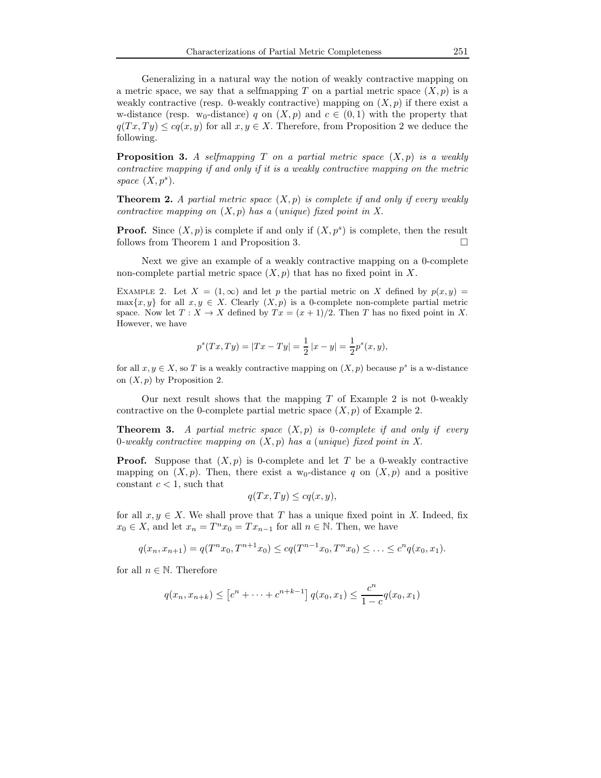Generalizing in a natural way the notion of weakly contractive mapping on a metric space, we say that a selfmapping T on a partial metric space  $(X, p)$  is a weakly contractive (resp. 0-weakly contractive) mapping on  $(X, p)$  if there exist a w-distance (resp. w<sub>0</sub>-distance) q on  $(X, p)$  and  $c \in (0, 1)$  with the property that  $q(T x, Ty) \leq c q(x, y)$  for all  $x, y \in X$ . Therefore, from Proposition 2 we deduce the following.

**Proposition 3.** A selfmapping T on a partial metric space  $(X, p)$  is a weakly contractive mapping if and only if it is a weakly contractive mapping on the metric space  $(X, p^s)$ .

**Theorem 2.** A partial metric space  $(X, p)$  is complete if and only if every weakly contractive mapping on  $(X, p)$  has a (unique) fixed point in X.

**Proof.** Since  $(X, p)$  is complete if and only if  $(X, p^s)$  is complete, then the result follows from Theorem 1 and Proposition 3.

Next we give an example of a weakly contractive mapping on a 0-complete non-complete partial metric space  $(X, p)$  that has no fixed point in X.

EXAMPLE 2. Let  $X = (1, \infty)$  and let p the partial metric on X defined by  $p(x, y) =$ max $\{x, y\}$  for all  $x, y \in X$ . Clearly  $(X, p)$  is a 0-complete non-complete partial metric space. Now let  $T : X \to X$  defined by  $Tx = (x + 1)/2$ . Then T has no fixed point in X. However, we have

$$
p^{s}(Tx, Ty) = |Tx - Ty| = \frac{1}{2}|x - y| = \frac{1}{2}p^{s}(x, y),
$$

for all  $x, y \in X$ , so T is a weakly contractive mapping on  $(X, p)$  because  $p^s$  is a w-distance on  $(X, p)$  by Proposition 2.

Our next result shows that the mapping  $T$  of Example 2 is not 0-weakly contractive on the 0-complete partial metric space  $(X, p)$  of Example 2.

**Theorem 3.** A partial metric space  $(X, p)$  is 0-complete if and only if every 0-weakly contractive mapping on  $(X, p)$  has a (unique) fixed point in X.

**Proof.** Suppose that  $(X, p)$  is 0-complete and let T be a 0-weakly contractive mapping on  $(X, p)$ . Then, there exist a w<sub>0</sub>-distance q on  $(X, p)$  and a positive constant  $c < 1$ , such that

$$
q(Tx,Ty) \leq cq(x,y),
$$

for all  $x, y \in X$ . We shall prove that T has a unique fixed point in X. Indeed, fix  $x_0 \in X$ , and let  $x_n = T^n x_0 = Tx_{n-1}$  for all  $n \in \mathbb{N}$ . Then, we have

$$
q(x_n, x_{n+1}) = q(T^n x_0, T^{n+1} x_0) \leq c q(T^{n-1} x_0, T^n x_0) \leq \ldots \leq c^n q(x_0, x_1).
$$

for all  $n \in \mathbb{N}$ . Therefore

$$
q(x_n, x_{n+k}) \le [c^n + \cdots + c^{n+k-1}] q(x_0, x_1) \le \frac{c^n}{1-c} q(x_0, x_1)
$$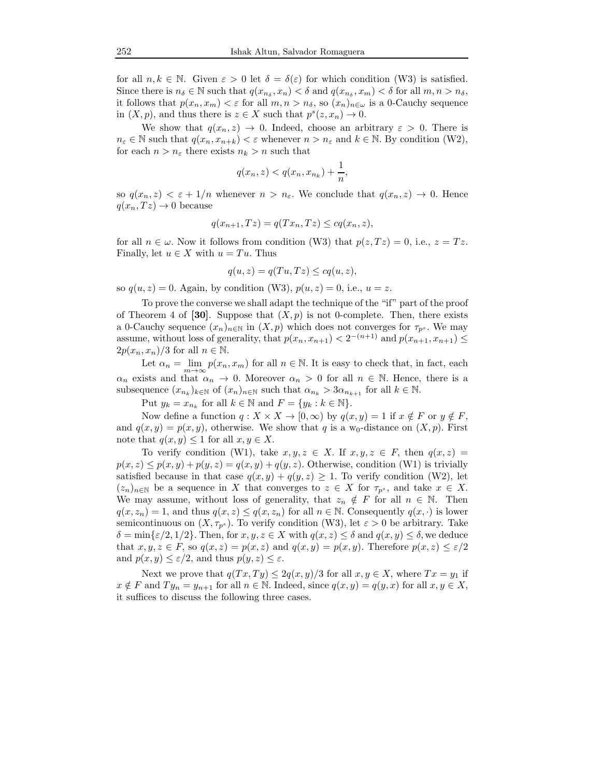for all  $n, k \in \mathbb{N}$ . Given  $\varepsilon > 0$  let  $\delta = \delta(\varepsilon)$  for which condition (W3) is satisfied. Since there is  $n_{\delta} \in \mathbb{N}$  such that  $q(x_{n_{\delta}}, x_n) < \delta$  and  $q(x_{n_{\delta}}, x_m) < \delta$  for all  $m, n > n_{\delta}$ , it follows that  $p(x_n, x_m) < \varepsilon$  for all  $m, n > n_\delta$ , so  $(x_n)_{n \in \omega}$  is a 0-Cauchy sequence in  $(X, p)$ , and thus there is  $z \in X$  such that  $p^{s}(z, x_n) \to 0$ .

We show that  $q(x_n, z) \to 0$ . Indeed, choose an arbitrary  $\varepsilon > 0$ . There is  $n_{\varepsilon} \in \mathbb{N}$  such that  $q(x_n, x_{n+k}) < \varepsilon$  whenever  $n > n_{\varepsilon}$  and  $k \in \mathbb{N}$ . By condition (W2), for each  $n > n_{\varepsilon}$  there exists  $n_k > n$  such that

$$
q(x_n, z) < q(x_n, x_{n_k}) + \frac{1}{n},
$$

so  $q(x_n, z) < \varepsilon + 1/n$  whenever  $n > n_{\varepsilon}$ . We conclude that  $q(x_n, z) \to 0$ . Hence  $q(x_n, Tz) \to 0$  because

$$
q(x_{n+1}, Tz) = q(Tx_n, Tz) \le cq(x_n, z),
$$

for all  $n \in \omega$ . Now it follows from condition (W3) that  $p(z,Tz) = 0$ , i.e.,  $z = Tz$ . Finally, let  $u \in X$  with  $u = Tu$ . Thus

$$
q(u, z) = q(Tu, Tz) \leq cq(u, z),
$$

so  $q(u, z) = 0$ . Again, by condition (W3),  $p(u, z) = 0$ , i.e.,  $u = z$ .

To prove the converse we shall adapt the technique of the "if" part of the proof of Theorem 4 of [30]. Suppose that  $(X, p)$  is not 0-complete. Then, there exists a 0-Cauchy sequence  $(x_n)_{n\in\mathbb{N}}$  in  $(X, p)$  which does not converges for  $\tau_{p^s}$ . We may assume, without loss of generality, that  $p(x_n, x_{n+1}) < 2^{-(n+1)}$  and  $p(x_{n+1}, x_{n+1}) \le$  $2p(x_n, x_n)/3$  for all  $n \in \mathbb{N}$ .

Let  $\alpha_n = \lim_{m \to \infty} p(x_n, x_m)$  for all  $n \in \mathbb{N}$ . It is easy to check that, in fact, each  $\alpha_n$  exists and that  $\alpha_n \to 0$ . Moreover  $\alpha_n > 0$  for all  $n \in \mathbb{N}$ . Hence, there is a subsequence  $(x_{n_k})_{k \in \mathbb{N}}$  of  $(x_n)_{n \in \mathbb{N}}$  such that  $\alpha_{n_k} > 3\alpha_{n_{k+1}}$  for all  $k \in \mathbb{N}$ .

Put  $y_k = x_{n_k}$  for all  $k \in \mathbb{N}$  and  $F = \{y_k : k \in \mathbb{N}\}.$ 

Now define a function  $q: X \times X \to [0, \infty)$  by  $q(x, y) = 1$  if  $x \notin F$  or  $y \notin F$ , and  $q(x, y) = p(x, y)$ , otherwise. We show that q is a w<sub>0</sub>-distance on  $(X, p)$ . First note that  $q(x, y) \leq 1$  for all  $x, y \in X$ .

To verify condition (W1), take  $x, y, z \in X$ . If  $x, y, z \in F$ , then  $q(x, z) =$  $p(x, z) \leq p(x, y) + p(y, z) = q(x, y) + q(y, z)$ . Otherwise, condition (W1) is trivially satisfied because in that case  $q(x, y) + q(y, z) \ge 1$ . To verify condition (W2), let  $(z_n)_{n\in\mathbb{N}}$  be a sequence in X that converges to  $z \in X$  for  $\tau_{p^s}$ , and take  $x \in X$ . We may assume, without loss of generality, that  $z_n \notin F$  for all  $n \in \mathbb{N}$ . Then  $q(x, z_n) = 1$ , and thus  $q(x, z) \leq q(x, z_n)$  for all  $n \in \mathbb{N}$ . Consequently  $q(x, \cdot)$  is lower semicontinuous on  $(X, \tau_{p^s})$ . To verify condition (W3), let  $\varepsilon > 0$  be arbitrary. Take  $\delta = \min\{\epsilon/2, 1/2\}.$  Then, for  $x, y, z \in X$  with  $q(x, z) \leq \delta$  and  $q(x, y) \leq \delta$ , we deduce that  $x, y, z \in F$ , so  $q(x, z) = p(x, z)$  and  $q(x, y) = p(x, y)$ . Therefore  $p(x, z) \leq \varepsilon/2$ and  $p(x, y) \leq \varepsilon/2$ , and thus  $p(y, z) \leq \varepsilon$ .

Next we prove that  $q(T x, Ty) \leq 2q(x, y)/3$  for all  $x, y \in X$ , where  $Tx = y_1$  if  $x \notin F$  and  $Ty_n = y_{n+1}$  for all  $n \in \mathbb{N}$ . Indeed, since  $q(x, y) = q(y, x)$  for all  $x, y \in X$ , it suffices to discuss the following three cases.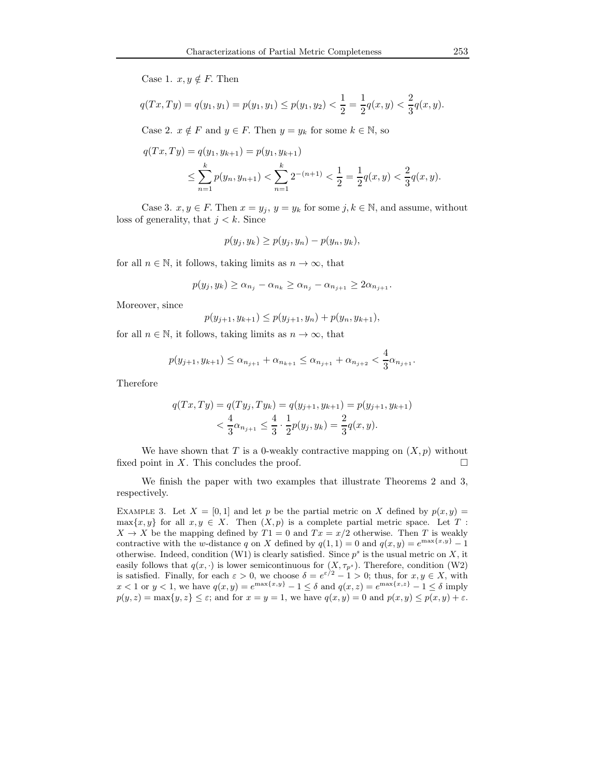Case 1.  $x, y \notin F$ . Then

$$
q(Tx,Ty) = q(y_1,y_1) = p(y_1,y_1) \leq p(y_1,y_2) < \frac{1}{2} = \frac{1}{2}q(x,y) < \frac{2}{3}q(x,y).
$$

Case 2.  $x \notin F$  and  $y \in F$ . Then  $y = y_k$  for some  $k \in \mathbb{N}$ , so

$$
q(Tx,Ty) = q(y_1, y_{k+1}) = p(y_1, y_{k+1})
$$
  
\n
$$
\leq \sum_{n=1}^k p(y_n, y_{n+1}) < \sum_{n=1}^k 2^{-(n+1)} < \frac{1}{2} = \frac{1}{2}q(x,y) < \frac{2}{3}q(x,y).
$$

Case 3.  $x, y \in F$ . Then  $x = y_j$ ,  $y = y_k$  for some  $j, k \in \mathbb{N}$ , and assume, without loss of generality, that  $j < k$ . Since

$$
p(y_j, y_k) \geq p(y_j, y_n) - p(y_n, y_k),
$$

for all  $n \in \mathbb{N}$ , it follows, taking limits as  $n \to \infty$ , that

$$
p(y_j, y_k) \ge \alpha_{n_j} - \alpha_{n_k} \ge \alpha_{n_j} - \alpha_{n_{j+1}} \ge 2\alpha_{n_{j+1}}.
$$

Moreover, since

$$
p(y_{j+1}, y_{k+1}) \le p(y_{j+1}, y_n) + p(y_n, y_{k+1}),
$$

for all  $n \in \mathbb{N}$ , it follows, taking limits as  $n \to \infty$ , that

$$
p(y_{j+1}, y_{k+1}) \leq \alpha_{n_{j+1}} + \alpha_{n_{k+1}} \leq \alpha_{n_{j+1}} + \alpha_{n_{j+2}} < \frac{4}{3}\alpha_{n_{j+1}}.
$$

Therefore

$$
q(Tx,Ty) = q(Ty_j,Ty_k) = q(y_{j+1},y_{k+1}) = p(y_{j+1},y_{k+1})
$$
  

$$
< \frac{4}{3}\alpha_{n_{j+1}} \le \frac{4}{3} \cdot \frac{1}{2}p(y_j,y_k) = \frac{2}{3}q(x,y).
$$

We have shown that T is a 0-weakly contractive mapping on  $(X, p)$  without fixed point in X. This concludes the proof.  $\Box$ 

We finish the paper with two examples that illustrate Theorems 2 and 3, respectively.

EXAMPLE 3. Let  $X = [0, 1]$  and let p be the partial metric on X defined by  $p(x, y) =$  $\max\{x, y\}$  for all  $x, y \in X$ . Then  $(X, p)$  is a complete partial metric space. Let T:  $X \to X$  be the mapping defined by  $T1 = 0$  and  $Tx = x/2$  otherwise. Then T is weakly contractive with the w-distance q on X defined by  $q(1, 1) = 0$  and  $q(x, y) = e^{\max\{x, y\}} - 1$ otherwise. Indeed, condition (W1) is clearly satisfied. Since  $p^s$  is the usual metric on X, it easily follows that  $q(x, \cdot)$  is lower semicontinuous for  $(X, \tau_{p^s})$ . Therefore, condition (W2) is satisfied. Finally, for each  $\varepsilon > 0$ , we choose  $\delta = e^{\varepsilon/2} - 1 > 0$ ; thus, for  $x, y \in X$ , with  $x < 1$  or  $y < 1$ , we have  $q(x, y) = e^{\max\{x, y\}} - 1 \le \delta$  and  $q(x, z) = e^{\max\{x, z\}} - 1 \le \delta$  imply  $p(y, z) = \max\{y, z\} \le \varepsilon$ ; and for  $x = y = 1$ , we have  $q(x, y) = 0$  and  $p(x, y) \le p(x, y) + \varepsilon$ .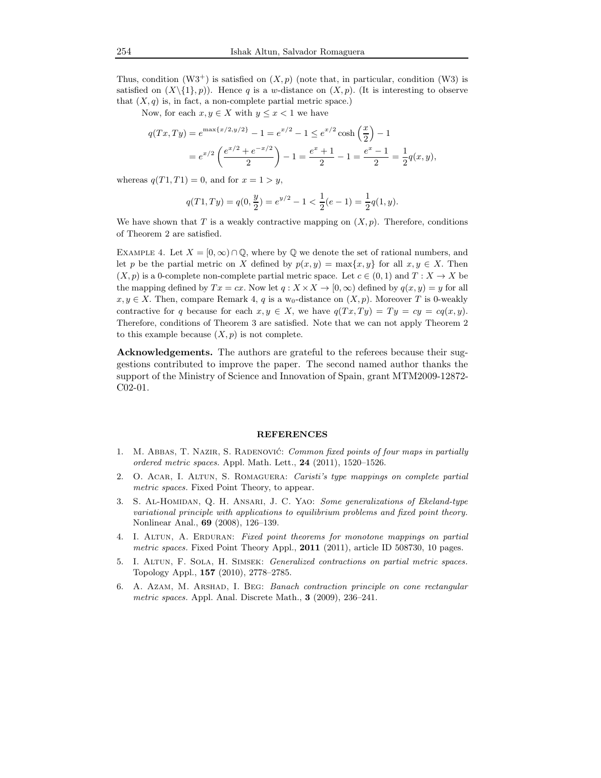Thus, condition  $(W3^+)$  is satisfied on  $(X, p)$  (note that, in particular, condition  $(W3)$ ) is satisfied on  $(X\setminus\{1\}, p)$ ). Hence q is a w-distance on  $(X, p)$ . (It is interesting to observe that  $(X, q)$  is, in fact, a non-complete partial metric space.)

Now, for each  $x, y \in X$  with  $y \leq x < 1$  we have

$$
q(Tx,Ty) = e^{\max\{x/2,y/2\}} - 1 = e^{x/2} - 1 \le e^{x/2} \cosh\left(\frac{x}{2}\right) - 1
$$
  
=  $e^{x/2} \left(\frac{e^{x/2} + e^{-x/2}}{2}\right) - 1 = \frac{e^x + 1}{2} - 1 = \frac{e^x - 1}{2} = \frac{1}{2}q(x,y),$ 

whereas  $q(T1, T1) = 0$ , and for  $x = 1 > y$ ,

$$
q(T1,Ty) = q(0, \frac{y}{2}) = e^{y/2} - 1 < \frac{1}{2}(e-1) = \frac{1}{2}q(1,y).
$$

We have shown that T is a weakly contractive mapping on  $(X, p)$ . Therefore, conditions of Theorem 2 are satisfied.

EXAMPLE 4. Let  $X = [0, \infty) \cap \mathbb{Q}$ , where by  $\mathbb Q$  we denote the set of rational numbers, and let p be the partial metric on X defined by  $p(x, y) = \max\{x, y\}$  for all  $x, y \in X$ . Then  $(X, p)$  is a 0-complete non-complete partial metric space. Let  $c \in (0, 1)$  and  $T : X \to X$  be the mapping defined by  $Tx = cx$ . Now let  $q: X \times X \to [0, \infty)$  defined by  $q(x, y) = y$  for all  $x, y \in X$ . Then, compare Remark 4, q is a w<sub>0</sub>-distance on  $(X, p)$ . Moreover T is 0-weakly contractive for q because for each  $x, y \in X$ , we have  $q(Tx, Ty) = Ty = cy = cq(x, y)$ . Therefore, conditions of Theorem 3 are satisfied. Note that we can not apply Theorem 2 to this example because  $(X, p)$  is not complete.

Acknowledgements. The authors are grateful to the referees because their suggestions contributed to improve the paper. The second named author thanks the support of the Ministry of Science and Innovation of Spain, grant MTM2009-12872- C02-01.

#### REFERENCES

- 1. M. ABBAS, T. NAZIR, S. RADENOVIĆ: *Common fixed points of four maps in partially* ordered metric spaces. Appl. Math. Lett., 24 (2011), 1520–1526.
- 2. O. Acar, I. Altun, S. Romaguera: Caristi's type mappings on complete partial metric spaces. Fixed Point Theory, to appear.
- 3. S. Al-Homidan, Q. H. Ansari, J. C. Yao: Some generalizations of Ekeland-type variational principle with applications to equilibrium problems and fixed point theory. Nonlinear Anal., 69 (2008), 126–139.
- 4. I. ALTUN, A. ERDURAN: Fixed point theorems for monotone mappings on partial metric spaces. Fixed Point Theory Appl., 2011 (2011), article ID 508730, 10 pages.
- 5. I. Altun, F. Sola, H. Simsek: Generalized contractions on partial metric spaces. Topology Appl., 157 (2010), 2778–2785.
- 6. A. Azam, M. Arshad, I. Beg: Banach contraction principle on cone rectangular metric spaces. Appl. Anal. Discrete Math., 3 (2009), 236–241.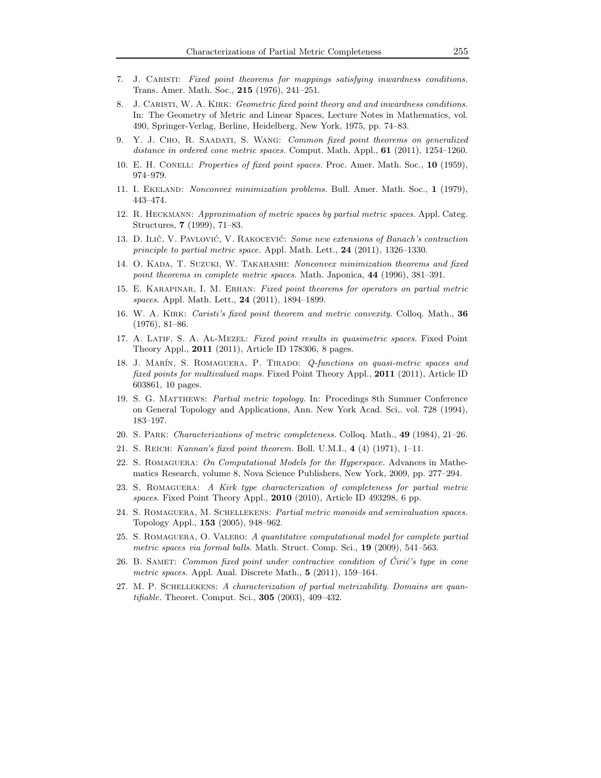- 7. J. Caristi: Fixed point theorems for mappings satisfying inwardness conditions. Trans. Amer. Math. Soc., 215 (1976), 241–251.
- 8. J. CARISTI, W. A. KIRK: Geometric fixed point theory and and inwardness conditions. In: The Geometry of Metric and Linear Spaces, Lecture Notes in Mathematics, vol. 490, Springer-Verlag, Berline, Heidelberg, New York, 1975, pp. 74–83.
- 9. Y. J. Cho, R. Saadati, S. Wang: Common fixed point theorems on generalized distance in ordered cone metric spaces. Comput. Math. Appl.,  $61$  (2011), 1254–1260.
- 10. E. H. Conell: Properties of fixed point spaces. Proc. Amer. Math. Soc., 10 (1959), 974–979.
- 11. I. Ekeland: Nonconvex minimization problems. Bull. Amer. Math. Soc., 1 (1979), 443–474.
- 12. R. Heckmann: Approximation of metric spaces by partial metric spaces. Appl. Categ. Structures, 7 (1999), 71–83.
- 13. D. ILIĆ, V. PAVLOVIĆ, V. RAKOCEVIĆ: Some new extensions of Banach's contraction principle to partial metric space. Appl. Math. Lett., 24 (2011), 1326–1330.
- 14. O. Kada, T. Suzuki, W. Takahashi: Nonconvex minimization theorems and fixed point theorems in complete metric spaces. Math. Japonica, 44 (1996), 381–391.
- 15. E. Karapinar, I. M. Erhan: Fixed point theorems for operators on partial metric spaces. Appl. Math. Lett., 24 (2011), 1894–1899.
- 16. W. A. KIRK: *Caristi's fixed point theorem and metric convexity*. Colloq. Math., 36 (1976), 81–86.
- 17. A. LATIF, S. A. AL-MEZEL: Fixed point results in quasimetric spaces. Fixed Point Theory Appl., 2011 (2011), Article ID 178306, 8 pages.
- 18. J. MARÍN, S. ROMAGUERA, P. TIRADO: Q-functions on quasi-metric spaces and fixed points for multivalued maps. Fixed Point Theory Appl., 2011 (2011), Article ID 603861, 10 pages.
- 19. S. G. Matthews: Partial metric topology. In: Procedings 8th Summer Conference on General Topology and Applications, Ann. New York Acad. Sci,. vol. 728 (1994), 183–197.
- 20. S. Park: Characterizations of metric completeness. Colloq. Math., 49 (1984), 21–26.
- 21. S. Reich: Kannan's fixed point theorem. Boll. U.M.I., 4 (4) (1971), 1–11.
- 22. S. ROMAGUERA: On Computational Models for the Hyperspace. Advances in Mathematics Research, volume 8, Nova Science Publishers, New York, 2009, pp. 277–294.
- 23. S. Romaguera: A Kirk type characterization of completeness for partial metric spaces. Fixed Point Theory Appl., 2010 (2010), Article ID 493298, 6 pp.
- 24. S. Romaguera, M. Schellekens: Partial metric monoids and semivaluation spaces. Topology Appl., 153 (2005), 948–962.
- 25. S. Romaguera, O. Valero: A quantitative computational model for complete partial metric spaces via formal balls. Math. Struct. Comp. Sci., 19 (2009), 541–563.
- 26. B. SAMET: Common fixed point under contractive condition of Ćirić's type in cone metric spaces. Appl. Anal. Discrete Math., 5 (2011), 159–164.
- 27. M. P. Schellekens: A characterization of partial metrizability. Domains are quantifiable. Theoret. Comput. Sci., 305 (2003), 409–432.